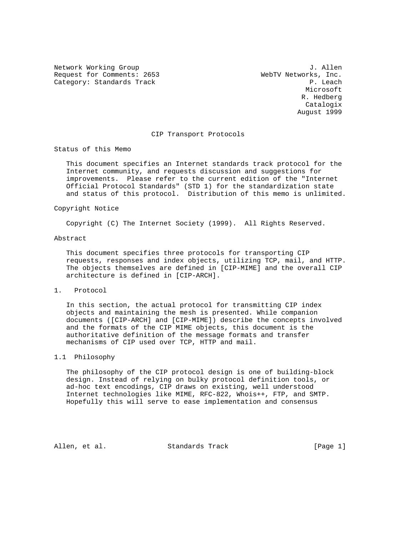Network Working Group 3. Allen Request for Comments: 2653<br>Category: Standards Track and MebTV Networks, Inc.<br>P. Leach Category: Standards Track

**Microsoft** Microsoft **Microsoft**  R. Hedberg Catalogix August 1999

### CIP Transport Protocols

Status of this Memo

 This document specifies an Internet standards track protocol for the Internet community, and requests discussion and suggestions for improvements. Please refer to the current edition of the "Internet Official Protocol Standards" (STD 1) for the standardization state and status of this protocol. Distribution of this memo is unlimited.

### Copyright Notice

Copyright (C) The Internet Society (1999). All Rights Reserved.

### Abstract

 This document specifies three protocols for transporting CIP requests, responses and index objects, utilizing TCP, mail, and HTTP. The objects themselves are defined in [CIP-MIME] and the overall CIP architecture is defined in [CIP-ARCH].

# 1. Protocol

 In this section, the actual protocol for transmitting CIP index objects and maintaining the mesh is presented. While companion documents ([CIP-ARCH] and [CIP-MIME]) describe the concepts involved and the formats of the CIP MIME objects, this document is the authoritative definition of the message formats and transfer mechanisms of CIP used over TCP, HTTP and mail.

# 1.1 Philosophy

 The philosophy of the CIP protocol design is one of building-block design. Instead of relying on bulky protocol definition tools, or ad-hoc text encodings, CIP draws on existing, well understood Internet technologies like MIME, RFC-822, Whois++, FTP, and SMTP. Hopefully this will serve to ease implementation and consensus

Allen, et al. Standards Track [Page 1]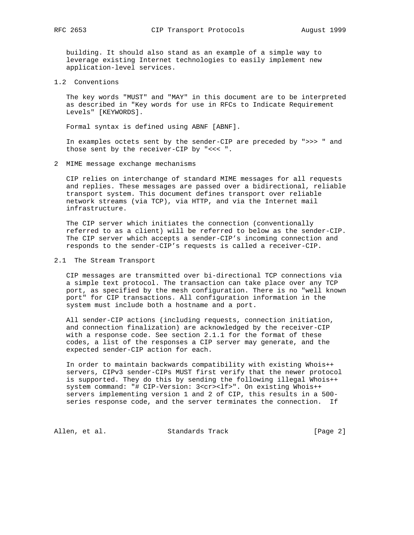building. It should also stand as an example of a simple way to leverage existing Internet technologies to easily implement new application-level services.

1.2 Conventions

 The key words "MUST" and "MAY" in this document are to be interpreted as described in "Key words for use in RFCs to Indicate Requirement Levels" [KEYWORDS].

Formal syntax is defined using ABNF [ABNF].

 In examples octets sent by the sender-CIP are preceded by ">>> " and those sent by the receiver-CIP by "<<< ".

2 MIME message exchange mechanisms

 CIP relies on interchange of standard MIME messages for all requests and replies. These messages are passed over a bidirectional, reliable transport system. This document defines transport over reliable network streams (via TCP), via HTTP, and via the Internet mail infrastructure.

 The CIP server which initiates the connection (conventionally referred to as a client) will be referred to below as the sender-CIP. The CIP server which accepts a sender-CIP's incoming connection and responds to the sender-CIP's requests is called a receiver-CIP.

2.1 The Stream Transport

 CIP messages are transmitted over bi-directional TCP connections via a simple text protocol. The transaction can take place over any TCP port, as specified by the mesh configuration. There is no "well known port" for CIP transactions. All configuration information in the system must include both a hostname and a port.

 All sender-CIP actions (including requests, connection initiation, and connection finalization) are acknowledged by the receiver-CIP with a response code. See section 2.1.1 for the format of these codes, a list of the responses a CIP server may generate, and the expected sender-CIP action for each.

 In order to maintain backwards compatibility with existing Whois++ servers, CIPv3 sender-CIPs MUST first verify that the newer protocol is supported. They do this by sending the following illegal Whois++ system command: "# CIP-Version: 3<cr><lf>". On existing Whois++ servers implementing version 1 and 2 of CIP, this results in a 500 series response code, and the server terminates the connection. If

Allen, et al. Standards Track [Page 2]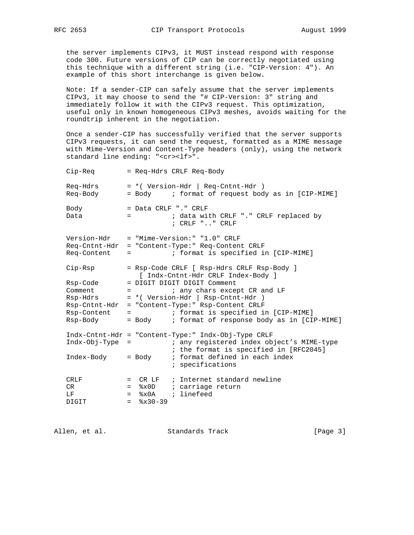the server implements CIPv3, it MUST instead respond with response code 300. Future versions of CIP can be correctly negotiated using this technique with a different string (i.e. "CIP-Version: 4"). An example of this short interchange is given below.

 Note: If a sender-CIP can safely assume that the server implements CIPv3, it may choose to send the "# CIP-Version: 3" string and immediately follow it with the CIPv3 request. This optimization, useful only in known homogeneous CIPv3 meshes, avoids waiting for the roundtrip inherent in the negotiation.

 Once a sender-CIP has successfully verified that the server supports CIPv3 requests, it can send the request, formatted as a MIME message with Mime-Version and Content-Type headers (only), using the network standard line ending: "<cr><lf>".

| Cip-Req                                                                                                 |                                      | = Req-Hdrs CRLF Req-Body                                                                                                                                                                                                                                                                                                                                                                                                                                    |
|---------------------------------------------------------------------------------------------------------|--------------------------------------|-------------------------------------------------------------------------------------------------------------------------------------------------------------------------------------------------------------------------------------------------------------------------------------------------------------------------------------------------------------------------------------------------------------------------------------------------------------|
| Req-Hdrs<br>Req-Body                                                                                    |                                      | = * ( Version-Hdr   Req-Cntnt-Hdr )<br>= Body : format of request body as in [CIP-MIME]                                                                                                                                                                                                                                                                                                                                                                     |
| Body<br>Data                                                                                            |                                      | = Data CRLF "." CRLF<br>; data with CRLF "." CRLF replaced by<br>$=$ $-$<br>; CRLF "" CRLF                                                                                                                                                                                                                                                                                                                                                                  |
| Version-Hdr<br>Req-Cntnt-Hdr<br>Req-Content                                                             |                                      | = "Mime-Version:" "1.0" CRLF<br>= "Content-Type:" Req-Content CRLF<br>; format is specified in [CIP-MIME]<br><b>Experience of the Company</b>                                                                                                                                                                                                                                                                                                               |
| Cip-Rsp<br>Rsp-Code<br>Comment<br>Rsp-Hdrs<br>Rsp-Cntnt-Hdr<br>Rsp-Content<br>Rsp-Body<br>Indx-Obj-Type | $=$ $-$<br>$=$                       | = Rsp-Code CRLF [ Rsp-Hdrs CRLF Rsp-Body ]<br>[ Indx-Cntnt-Hdr CRLF Index-Body ]<br>= DIGIT DIGIT DIGIT Comment<br>; any chars except CR and LF<br>$\equiv$ 100 $\pm$ 100 $\pm$<br>= *( Version-Hdr   Rsp-Cntnt-Hdr )<br>= "Content-Type:" Rsp-Content CRLF<br>; format is specified in [CIP-MIME]<br>= Body : format of response body as in [CIP-MIME]<br>Indx-Cntnt-Hdr = "Content-Type:" Indx-Obj-Type CRLF<br>; any registered index object's MIME-type |
| Index-Body                                                                                              |                                      | ; the format is specified in [RFC2045]<br>; format defined in each index<br>= Body<br>; specifications                                                                                                                                                                                                                                                                                                                                                      |
| CRLF<br>CR.<br>LF<br>DIGIT                                                                              | $=$<br>$=$ $-$<br>$=$ $-$<br>$=$ $-$ | ; Internet standard newline<br>CR LF<br>x0D<br>; carriage return<br>; linefeed<br>8x0A<br>$8x30-39$                                                                                                                                                                                                                                                                                                                                                         |

Allen, et al. Standards Track [Page 3]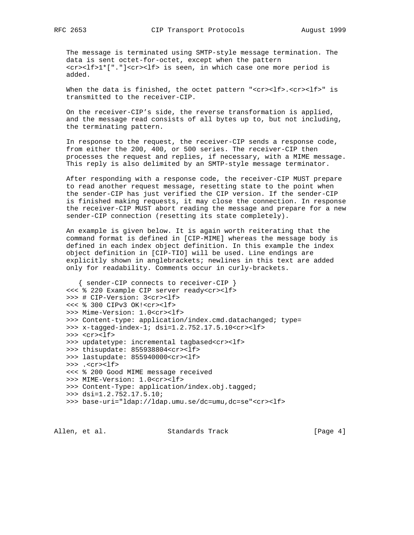The message is terminated using SMTP-style message termination. The data is sent octet-for-octet, except when the pattern <cr><lf>1\*["."]<cr><lf> is seen, in which case one more period is added.

When the data is finished, the octet pattern "<cr><lf>.<cr><lf>" is transmitted to the receiver-CIP.

 On the receiver-CIP's side, the reverse transformation is applied, and the message read consists of all bytes up to, but not including, the terminating pattern.

 In response to the request, the receiver-CIP sends a response code, from either the 200, 400, or 500 series. The receiver-CIP then processes the request and replies, if necessary, with a MIME message. This reply is also delimited by an SMTP-style message terminator.

 After responding with a response code, the receiver-CIP MUST prepare to read another request message, resetting state to the point when the sender-CIP has just verified the CIP version. If the sender-CIP is finished making requests, it may close the connection. In response the receiver-CIP MUST abort reading the message and prepare for a new sender-CIP connection (resetting its state completely).

 An example is given below. It is again worth reiterating that the command format is defined in [CIP-MIME] whereas the message body is defined in each index object definition. In this example the index object definition in [CIP-TIO] will be used. Line endings are explicitly shown in anglebrackets; newlines in this text are added only for readability. Comments occur in curly-brackets.

```
 { sender-CIP connects to receiver-CIP }
 <<< % 220 Example CIP server ready<cr><lf>
 >>> # CIP-Version: 3<cr><lf>
 <<< % 300 CIPv3 OK!<cr><lf>
 >>> Mime-Version: 1.0<cr><lf>
>>> Content-type: application/index.cmd.datachanged; type=
 >>> x-tagged-index-1; dsi=1.2.752.17.5.10<cr><lf>
 >>> <cr><lf>
 >>> updatetype: incremental tagbased<cr><lf>
 >>> thisupdate: 855938804<cr><lf>
 >>> lastupdate: 855940000<cr><lf>
 >>> .<cr><lf>
 <<< % 200 Good MIME message received
 >>> MIME-Version: 1.0<cr><lf>
 >>> Content-Type: application/index.obj.tagged;
 >>> dsi=1.2.752.17.5.10;
 >>> base-uri="ldap://ldap.umu.se/dc=umu,dc=se"<cr><lf>
```
Allen, et al. Standards Track [Page 4]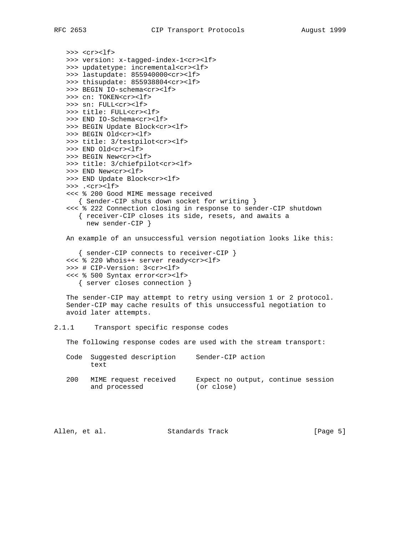```
>>> <cr><lf>
 >>> version: x-tagged-index-1<cr><lf>
 >>> updatetype: incremental<cr><lf>
 >>> lastupdate: 855940000<cr><lf>
 >>> thisupdate: 855938804<cr><lf>
 >>> BEGIN IO-schema<cr><lf>
>>> cn: TOKEN<cr><lf>
 >>> sn: FULL<cr><lf>
 >>> title: FULL<cr><lf>
 >>> END IO-Schema<cr><lf>
 >>> BEGIN Update Block<cr><lf>
 >>> BEGIN Old<cr><lf>
 >>> title: 3/testpilot<cr><lf>
 >>> END Old<cr><lf>
 >>> BEGIN New<cr><lf>
 >>> title: 3/chiefpilot<cr><lf>
>>> END New<cr>>><lf>
 >>> END Update Block<cr><lf>
 >>> .<cr><lf>
 <<< % 200 Good MIME message received
   { Sender-CIP shuts down socket for writing }
 <<< % 222 Connection closing in response to sender-CIP shutdown
    { receiver-CIP closes its side, resets, and awaits a
      new sender-CIP }
 An example of an unsuccessful version negotiation looks like this:
    { sender-CIP connects to receiver-CIP }
 <<< % 220 Whois++ server ready<cr><lf>
 >>> # CIP-Version: 3<cr><lf>
 <<< % 500 Syntax error<cr><lf>
    { server closes connection }
 The sender-CIP may attempt to retry using version 1 or 2 protocol.
 Sender-CIP may cache results of this unsuccessful negotiation to
 avoid later attempts.
```
### 2.1.1 Transport specific response codes

The following response codes are used with the stream transport:

| Code | Suggested description<br>text          | Sender-CIP action                                |  |
|------|----------------------------------------|--------------------------------------------------|--|
| 200  | MIME request received<br>and processed | Expect no output, continue session<br>(or close) |  |
|      |                                        |                                                  |  |

| Allen, et al. |  | Standards Track | [Page 5] |  |  |
|---------------|--|-----------------|----------|--|--|
|---------------|--|-----------------|----------|--|--|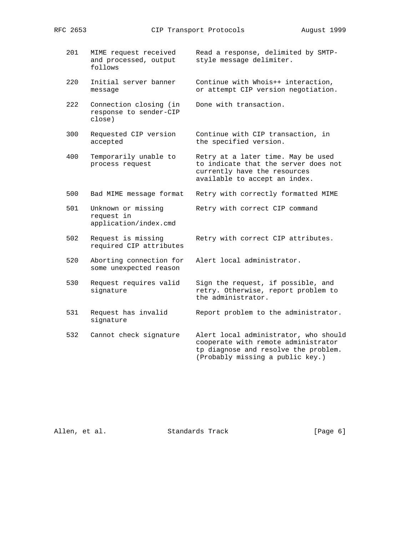- 201 MIME request received Read a response, delimited by SMTP and processed, output style message delimiter. follows
	- 220 Initial server banner Continue with Whois++ interaction, message or attempt CIP version negotiation.
	- 222 Connection closing (in Done with transaction. response to sender-CIP close)
	- 300 Requested CIP version Continue with CIP transaction, in accepted the specified version.
	- 400 Temporarily unable to Retry at a later time. May be used process request to indicate that the server does not
	- 500 Bad MIME message format Retry with correctly formatted MIME
	- 501 Unknown or missing Retry with correct CIP command request in application/index.cmd
	- 502 Request is missing Retry with correct CIP attributes. required CIP attributes

 currently have the resources available to accept an index.

- 520 Aborting connection for Alert local administrator. some unexpected reason
- 530 Request requires valid Sign the request, if possible, and signature **retry.** Otherwise, report problem to the administrator.
- 531 Request has invalid Report problem to the administrator. signature
- 532 Cannot check signature Alert local administrator, who should cooperate with remote administrator tp diagnose and resolve the problem. (Probably missing a public key.)

Allen, et al. Standards Track [Page 6]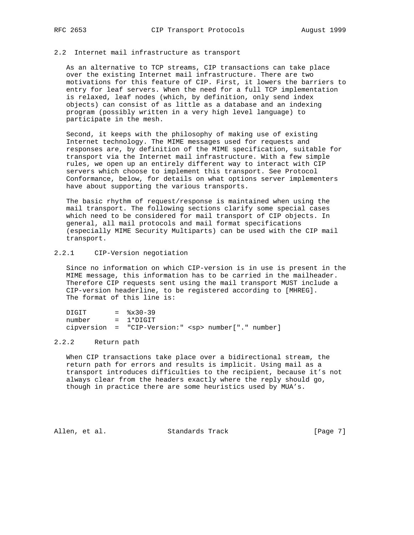# 2.2 Internet mail infrastructure as transport

 As an alternative to TCP streams, CIP transactions can take place over the existing Internet mail infrastructure. There are two motivations for this feature of CIP. First, it lowers the barriers to entry for leaf servers. When the need for a full TCP implementation is relaxed, leaf nodes (which, by definition, only send index objects) can consist of as little as a database and an indexing program (possibly written in a very high level language) to participate in the mesh.

 Second, it keeps with the philosophy of making use of existing Internet technology. The MIME messages used for requests and responses are, by definition of the MIME specification, suitable for transport via the Internet mail infrastructure. With a few simple rules, we open up an entirely different way to interact with CIP servers which choose to implement this transport. See Protocol Conformance, below, for details on what options server implementers have about supporting the various transports.

 The basic rhythm of request/response is maintained when using the mail transport. The following sections clarify some special cases which need to be considered for mail transport of CIP objects. In general, all mail protocols and mail format specifications (especially MIME Security Multiparts) can be used with the CIP mail transport.

# 2.2.1 CIP-Version negotiation

 Since no information on which CIP-version is in use is present in the MIME message, this information has to be carried in the mailheader. Therefore CIP requests sent using the mail transport MUST include a CIP-version headerline, to be registered according to [MHREG]. The format of this line is:

| DIGIT  | $=$ $\frac{8 \times 30 - 39}{ }$                         |  |  |
|--------|----------------------------------------------------------|--|--|
| number | $= 1*DTGIT$                                              |  |  |
|        | cipversion = "CIP-Version:" <sp> number["." number]</sp> |  |  |

### 2.2.2 Return path

 When CIP transactions take place over a bidirectional stream, the return path for errors and results is implicit. Using mail as a transport introduces difficulties to the recipient, because it's not always clear from the headers exactly where the reply should go, though in practice there are some heuristics used by MUA's.

Allen, et al. Standards Track [Page 7]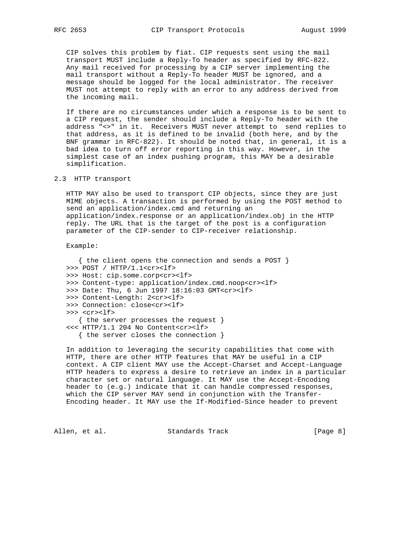CIP solves this problem by fiat. CIP requests sent using the mail transport MUST include a Reply-To header as specified by RFC-822. Any mail received for processing by a CIP server implementing the mail transport without a Reply-To header MUST be ignored, and a message should be logged for the local administrator. The receiver MUST not attempt to reply with an error to any address derived from the incoming mail.

 If there are no circumstances under which a response is to be sent to a CIP request, the sender should include a Reply-To header with the address "<>" in it. Receivers MUST never attempt to send replies to that address, as it is defined to be invalid (both here, and by the BNF grammar in RFC-822). It should be noted that, in general, it is a bad idea to turn off error reporting in this way. However, in the simplest case of an index pushing program, this MAY be a desirable simplification.

2.3 HTTP transport

 HTTP MAY also be used to transport CIP objects, since they are just MIME objects. A transaction is performed by using the POST method to send an application/index.cmd and returning an application/index.response or an application/index.obj in the HTTP reply. The URL that is the target of the post is a configuration parameter of the CIP-sender to CIP-receiver relationship.

Example:

 { the client opens the connection and sends a POST } >>> POST / HTTP/1.1<cr><lf> >>> Host: cip.some.corp<cr><lf> >>> Content-type: application/index.cmd.noop<cr><lf> >>> Date: Thu, 6 Jun 1997 18:16:03 GMT<cr><lf> >>> Content-Length: 2<cr><lf> >>> Connection: close<cr><lf> >>> <cr><lf> { the server processes the request } <<< HTTP/1.1 204 No Content<cr><lf> { the server closes the connection }

 In addition to leveraging the security capabilities that come with HTTP, there are other HTTP features that MAY be useful in a CIP context. A CIP client MAY use the Accept-Charset and Accept-Language HTTP headers to express a desire to retrieve an index in a particular character set or natural language. It MAY use the Accept-Encoding header to (e.g.) indicate that it can handle compressed responses, which the CIP server MAY send in conjunction with the Transfer- Encoding header. It MAY use the If-Modified-Since header to prevent

Allen, et al. Standards Track [Page 8]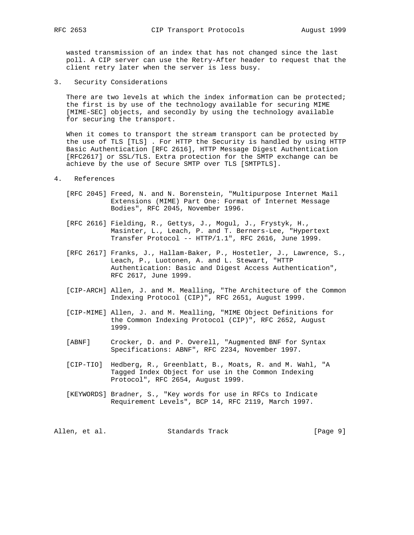wasted transmission of an index that has not changed since the last poll. A CIP server can use the Retry-After header to request that the client retry later when the server is less busy.

3. Security Considerations

There are two levels at which the index information can be protected; the first is by use of the technology available for securing MIME [MIME-SEC] objects, and secondly by using the technology available for securing the transport.

 When it comes to transport the stream transport can be protected by the use of TLS [TLS] . For HTTP the Security is handled by using HTTP Basic Authentication [RFC 2616], HTTP Message Digest Authentication [RFC2617] or SSL/TLS. Extra protection for the SMTP exchange can be achieve by the use of Secure SMTP over TLS [SMTPTLS].

### 4. References

- [RFC 2045] Freed, N. and N. Borenstein, "Multipurpose Internet Mail Extensions (MIME) Part One: Format of Internet Message Bodies", RFC 2045, November 1996.
- [RFC 2616] Fielding, R., Gettys, J., Mogul, J., Frystyk, H., Masinter, L., Leach, P. and T. Berners-Lee, "Hypertext Transfer Protocol -- HTTP/1.1", RFC 2616, June 1999.
- [RFC 2617] Franks, J., Hallam-Baker, P., Hostetler, J., Lawrence, S., Leach, P., Luotonen, A. and L. Stewart, "HTTP Authentication: Basic and Digest Access Authentication", RFC 2617, June 1999.
- [CIP-ARCH] Allen, J. and M. Mealling, "The Architecture of the Common Indexing Protocol (CIP)", RFC 2651, August 1999.
- [CIP-MIME] Allen, J. and M. Mealling, "MIME Object Definitions for the Common Indexing Protocol (CIP)", RFC 2652, August 1999.
- [ABNF] Crocker, D. and P. Overell, "Augmented BNF for Syntax Specifications: ABNF", RFC 2234, November 1997.
- [CIP-TIO] Hedberg, R., Greenblatt, B., Moats, R. and M. Wahl, "A Tagged Index Object for use in the Common Indexing Protocol", RFC 2654, August 1999.
- [KEYWORDS] Bradner, S., "Key words for use in RFCs to Indicate Requirement Levels", BCP 14, RFC 2119, March 1997.

Allen, et al. Standards Track [Page 9]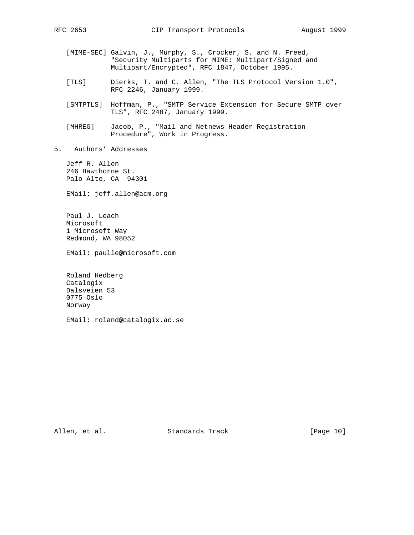- [MIME-SEC] Galvin, J., Murphy, S., Crocker, S. and N. Freed, "Security Multiparts for MIME: Multipart/Signed and Multipart/Encrypted", RFC 1847, October 1995.
- [TLS] Dierks, T. and C. Allen, "The TLS Protocol Version 1.0", RFC 2246, January 1999.
- [SMTPTLS] Hoffman, P., "SMTP Service Extension for Secure SMTP over TLS", RFC 2487, January 1999.
- [MHREG] Jacob, P., "Mail and Netnews Header Registration Procedure", Work in Progress.
- 5. Authors' Addresses

 Jeff R. Allen 246 Hawthorne St. Palo Alto, CA 94301

EMail: jeff.allen@acm.org

 Paul J. Leach Microsoft 1 Microsoft Way Redmond, WA 98052

EMail: paulle@microsoft.com

 Roland Hedberg Catalogix Dalsveien 53 0775 Oslo Norway

EMail: roland@catalogix.ac.se

Allen, et al. Standards Track [Page 10]